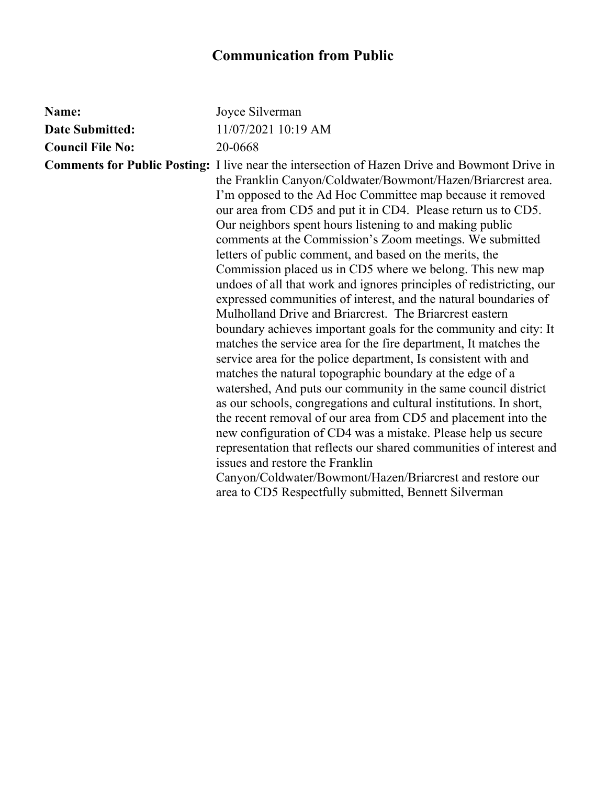| Name:                   | Joyce Silverman                                                                                                                                                                                                                                                                                                                                                                                                                                                                                                                                                                                                                                                                                                                                                                                                                                                                                                                                                                                                                                                                                                                                                                                                                                                                                                                                                                                                                                                                                                                              |
|-------------------------|----------------------------------------------------------------------------------------------------------------------------------------------------------------------------------------------------------------------------------------------------------------------------------------------------------------------------------------------------------------------------------------------------------------------------------------------------------------------------------------------------------------------------------------------------------------------------------------------------------------------------------------------------------------------------------------------------------------------------------------------------------------------------------------------------------------------------------------------------------------------------------------------------------------------------------------------------------------------------------------------------------------------------------------------------------------------------------------------------------------------------------------------------------------------------------------------------------------------------------------------------------------------------------------------------------------------------------------------------------------------------------------------------------------------------------------------------------------------------------------------------------------------------------------------|
| <b>Date Submitted:</b>  | 11/07/2021 10:19 AM                                                                                                                                                                                                                                                                                                                                                                                                                                                                                                                                                                                                                                                                                                                                                                                                                                                                                                                                                                                                                                                                                                                                                                                                                                                                                                                                                                                                                                                                                                                          |
| <b>Council File No:</b> | 20-0668                                                                                                                                                                                                                                                                                                                                                                                                                                                                                                                                                                                                                                                                                                                                                                                                                                                                                                                                                                                                                                                                                                                                                                                                                                                                                                                                                                                                                                                                                                                                      |
|                         | <b>Comments for Public Posting:</b> I live near the intersection of Hazen Drive and Bowmont Drive in<br>the Franklin Canyon/Coldwater/Bowmont/Hazen/Briarcrest area.<br>I'm opposed to the Ad Hoc Committee map because it removed<br>our area from CD5 and put it in CD4. Please return us to CD5.<br>Our neighbors spent hours listening to and making public<br>comments at the Commission's Zoom meetings. We submitted<br>letters of public comment, and based on the merits, the<br>Commission placed us in CD5 where we belong. This new map<br>undoes of all that work and ignores principles of redistricting, our<br>expressed communities of interest, and the natural boundaries of<br>Mulholland Drive and Briarcrest. The Briarcrest eastern<br>boundary achieves important goals for the community and city: It<br>matches the service area for the fire department, It matches the<br>service area for the police department, Is consistent with and<br>matches the natural topographic boundary at the edge of a<br>watershed, And puts our community in the same council district<br>as our schools, congregations and cultural institutions. In short,<br>the recent removal of our area from CD5 and placement into the<br>new configuration of CD4 was a mistake. Please help us secure<br>representation that reflects our shared communities of interest and<br>issues and restore the Franklin<br>Canyon/Coldwater/Bowmont/Hazen/Briarcrest and restore our<br>area to CD5 Respectfully submitted, Bennett Silverman |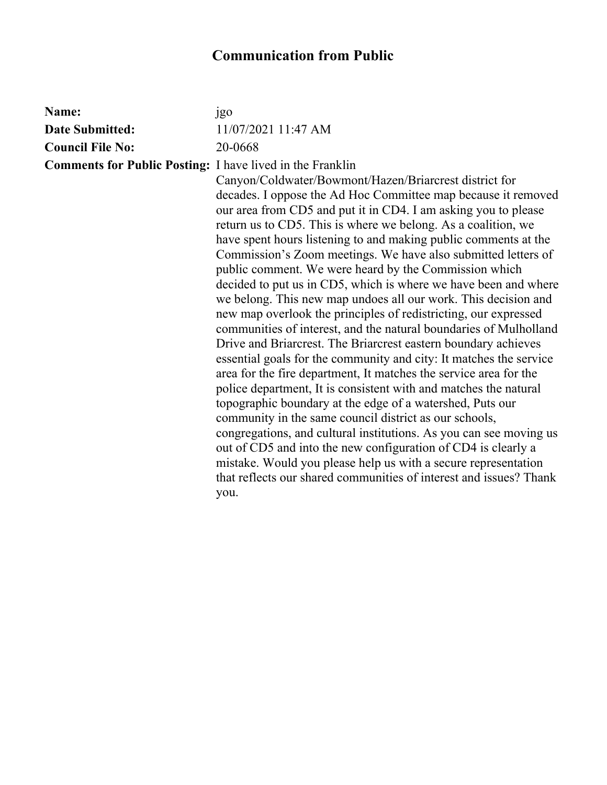| Name:                                                            | jgo                                                                                                                                                                                                                                                                                                                                                                                                                                                                                                                                                                                                                                                                                                                                                                                                                                                                                                                                                                                                                                                                                                                                                                                                                                                                                                                                                                                                                                 |
|------------------------------------------------------------------|-------------------------------------------------------------------------------------------------------------------------------------------------------------------------------------------------------------------------------------------------------------------------------------------------------------------------------------------------------------------------------------------------------------------------------------------------------------------------------------------------------------------------------------------------------------------------------------------------------------------------------------------------------------------------------------------------------------------------------------------------------------------------------------------------------------------------------------------------------------------------------------------------------------------------------------------------------------------------------------------------------------------------------------------------------------------------------------------------------------------------------------------------------------------------------------------------------------------------------------------------------------------------------------------------------------------------------------------------------------------------------------------------------------------------------------|
| <b>Date Submitted:</b>                                           | 11/07/2021 11:47 AM                                                                                                                                                                                                                                                                                                                                                                                                                                                                                                                                                                                                                                                                                                                                                                                                                                                                                                                                                                                                                                                                                                                                                                                                                                                                                                                                                                                                                 |
| <b>Council File No:</b>                                          | 20-0668                                                                                                                                                                                                                                                                                                                                                                                                                                                                                                                                                                                                                                                                                                                                                                                                                                                                                                                                                                                                                                                                                                                                                                                                                                                                                                                                                                                                                             |
| <b>Comments for Public Posting:</b> I have lived in the Franklin | Canyon/Coldwater/Bowmont/Hazen/Briarcrest district for<br>decades. I oppose the Ad Hoc Committee map because it removed<br>our area from CD5 and put it in CD4. I am asking you to please<br>return us to CD5. This is where we belong. As a coalition, we<br>have spent hours listening to and making public comments at the<br>Commission's Zoom meetings. We have also submitted letters of<br>public comment. We were heard by the Commission which<br>decided to put us in CD5, which is where we have been and where<br>we belong. This new map undoes all our work. This decision and<br>new map overlook the principles of redistricting, our expressed<br>communities of interest, and the natural boundaries of Mulholland<br>Drive and Briarcrest. The Briarcrest eastern boundary achieves<br>essential goals for the community and city: It matches the service<br>area for the fire department, It matches the service area for the<br>police department, It is consistent with and matches the natural<br>topographic boundary at the edge of a watershed, Puts our<br>community in the same council district as our schools,<br>congregations, and cultural institutions. As you can see moving us<br>out of CD5 and into the new configuration of CD4 is clearly a<br>mistake. Would you please help us with a secure representation<br>that reflects our shared communities of interest and issues? Thank<br>you. |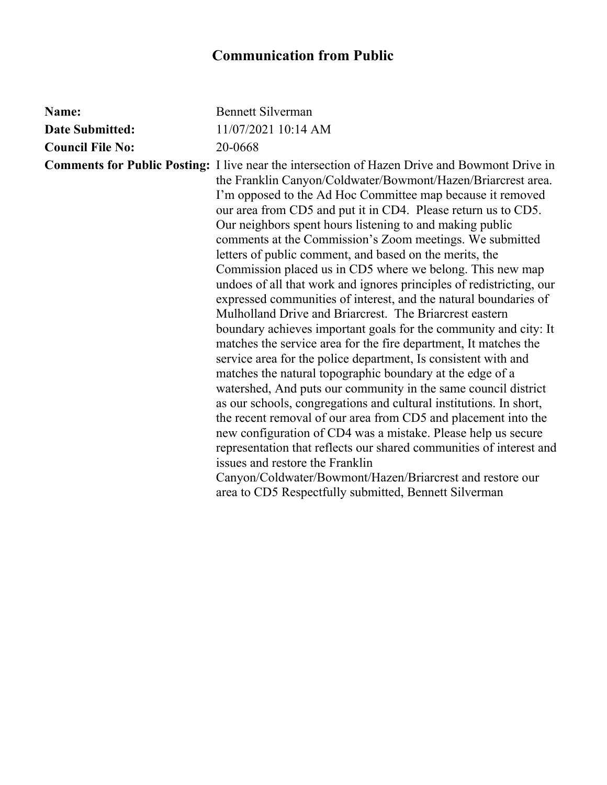| Name:                   | <b>Bennett Silverman</b>                                                                                                                                                                                                                                                                                                                                                                                                                                                                                                                                                                                                                                                                                                                                                                                                                                                                                                                                                                                                                                                                                                                                                                                                                                                                                                                                                                                                                                                                                                                     |
|-------------------------|----------------------------------------------------------------------------------------------------------------------------------------------------------------------------------------------------------------------------------------------------------------------------------------------------------------------------------------------------------------------------------------------------------------------------------------------------------------------------------------------------------------------------------------------------------------------------------------------------------------------------------------------------------------------------------------------------------------------------------------------------------------------------------------------------------------------------------------------------------------------------------------------------------------------------------------------------------------------------------------------------------------------------------------------------------------------------------------------------------------------------------------------------------------------------------------------------------------------------------------------------------------------------------------------------------------------------------------------------------------------------------------------------------------------------------------------------------------------------------------------------------------------------------------------|
| <b>Date Submitted:</b>  | 11/07/2021 10:14 AM                                                                                                                                                                                                                                                                                                                                                                                                                                                                                                                                                                                                                                                                                                                                                                                                                                                                                                                                                                                                                                                                                                                                                                                                                                                                                                                                                                                                                                                                                                                          |
| <b>Council File No:</b> | 20-0668                                                                                                                                                                                                                                                                                                                                                                                                                                                                                                                                                                                                                                                                                                                                                                                                                                                                                                                                                                                                                                                                                                                                                                                                                                                                                                                                                                                                                                                                                                                                      |
|                         | <b>Comments for Public Posting:</b> I live near the intersection of Hazen Drive and Bowmont Drive in<br>the Franklin Canyon/Coldwater/Bowmont/Hazen/Briarcrest area.<br>I'm opposed to the Ad Hoc Committee map because it removed<br>our area from CD5 and put it in CD4. Please return us to CD5.<br>Our neighbors spent hours listening to and making public<br>comments at the Commission's Zoom meetings. We submitted<br>letters of public comment, and based on the merits, the<br>Commission placed us in CD5 where we belong. This new map<br>undoes of all that work and ignores principles of redistricting, our<br>expressed communities of interest, and the natural boundaries of<br>Mulholland Drive and Briarcrest. The Briarcrest eastern<br>boundary achieves important goals for the community and city: It<br>matches the service area for the fire department, It matches the<br>service area for the police department, Is consistent with and<br>matches the natural topographic boundary at the edge of a<br>watershed, And puts our community in the same council district<br>as our schools, congregations and cultural institutions. In short,<br>the recent removal of our area from CD5 and placement into the<br>new configuration of CD4 was a mistake. Please help us secure<br>representation that reflects our shared communities of interest and<br>issues and restore the Franklin<br>Canyon/Coldwater/Bowmont/Hazen/Briarcrest and restore our<br>area to CD5 Respectfully submitted, Bennett Silverman |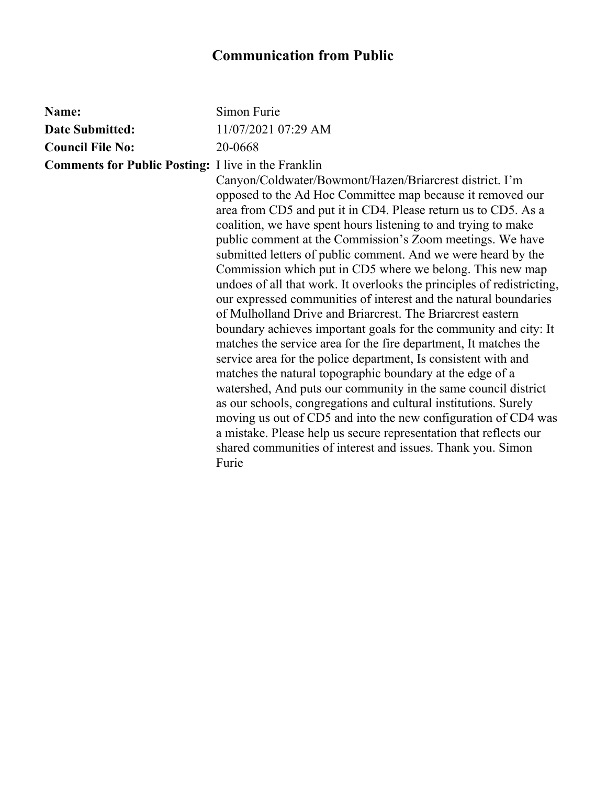| Name:                                                      | Simon Furie                                                                                                                                                                                                                                                                                                                                                                                                                                                                                                                                                                                                                                                                                                                                                                                                                                                                                                                                                                                                                                                                                                                                                                                                                                                                                 |
|------------------------------------------------------------|---------------------------------------------------------------------------------------------------------------------------------------------------------------------------------------------------------------------------------------------------------------------------------------------------------------------------------------------------------------------------------------------------------------------------------------------------------------------------------------------------------------------------------------------------------------------------------------------------------------------------------------------------------------------------------------------------------------------------------------------------------------------------------------------------------------------------------------------------------------------------------------------------------------------------------------------------------------------------------------------------------------------------------------------------------------------------------------------------------------------------------------------------------------------------------------------------------------------------------------------------------------------------------------------|
| <b>Date Submitted:</b>                                     | 11/07/2021 07:29 AM                                                                                                                                                                                                                                                                                                                                                                                                                                                                                                                                                                                                                                                                                                                                                                                                                                                                                                                                                                                                                                                                                                                                                                                                                                                                         |
| <b>Council File No:</b>                                    | 20-0668                                                                                                                                                                                                                                                                                                                                                                                                                                                                                                                                                                                                                                                                                                                                                                                                                                                                                                                                                                                                                                                                                                                                                                                                                                                                                     |
| <b>Comments for Public Posting:</b> I live in the Franklin | Canyon/Coldwater/Bowmont/Hazen/Briarcrest district. I'm<br>opposed to the Ad Hoc Committee map because it removed our<br>area from CD5 and put it in CD4. Please return us to CD5. As a<br>coalition, we have spent hours listening to and trying to make<br>public comment at the Commission's Zoom meetings. We have<br>submitted letters of public comment. And we were heard by the<br>Commission which put in CD5 where we belong. This new map<br>undoes of all that work. It overlooks the principles of redistricting,<br>our expressed communities of interest and the natural boundaries<br>of Mulholland Drive and Briarcrest. The Briarcrest eastern<br>boundary achieves important goals for the community and city: It<br>matches the service area for the fire department, It matches the<br>service area for the police department, Is consistent with and<br>matches the natural topographic boundary at the edge of a<br>watershed, And puts our community in the same council district<br>as our schools, congregations and cultural institutions. Surely<br>moving us out of CD5 and into the new configuration of CD4 was<br>a mistake. Please help us secure representation that reflects our<br>shared communities of interest and issues. Thank you. Simon<br>Furie |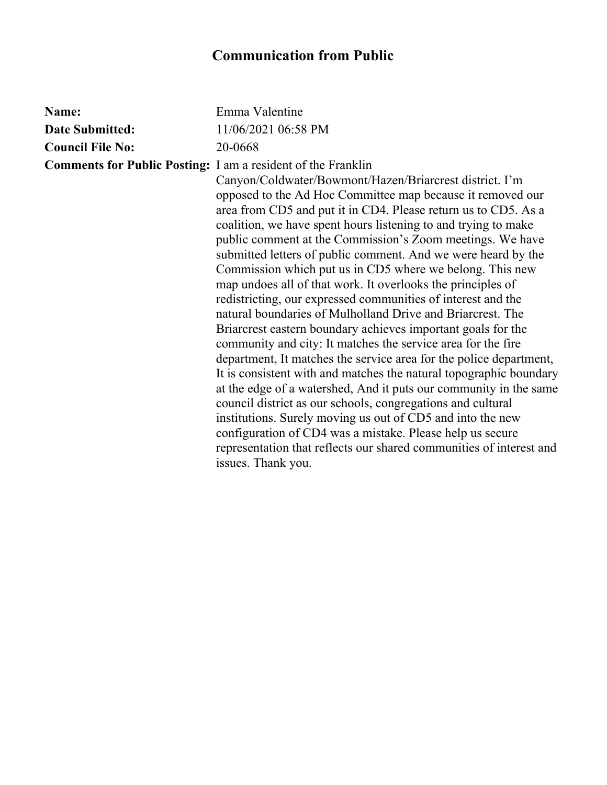| Name:                                                               | Emma Valentine                                                                                                                                                                                                                                                                                                                                                                                                                                                                                                                                                                                                                                                                                                                                                                                                                                                                                                                                                                                                                                                                                                                                                                                                                                                                           |
|---------------------------------------------------------------------|------------------------------------------------------------------------------------------------------------------------------------------------------------------------------------------------------------------------------------------------------------------------------------------------------------------------------------------------------------------------------------------------------------------------------------------------------------------------------------------------------------------------------------------------------------------------------------------------------------------------------------------------------------------------------------------------------------------------------------------------------------------------------------------------------------------------------------------------------------------------------------------------------------------------------------------------------------------------------------------------------------------------------------------------------------------------------------------------------------------------------------------------------------------------------------------------------------------------------------------------------------------------------------------|
| <b>Date Submitted:</b>                                              | 11/06/2021 06:58 PM                                                                                                                                                                                                                                                                                                                                                                                                                                                                                                                                                                                                                                                                                                                                                                                                                                                                                                                                                                                                                                                                                                                                                                                                                                                                      |
| <b>Council File No:</b>                                             | 20-0668                                                                                                                                                                                                                                                                                                                                                                                                                                                                                                                                                                                                                                                                                                                                                                                                                                                                                                                                                                                                                                                                                                                                                                                                                                                                                  |
| <b>Comments for Public Posting:</b> I am a resident of the Franklin | Canyon/Coldwater/Bowmont/Hazen/Briarcrest district. I'm<br>opposed to the Ad Hoc Committee map because it removed our<br>area from CD5 and put it in CD4. Please return us to CD5. As a<br>coalition, we have spent hours listening to and trying to make<br>public comment at the Commission's Zoom meetings. We have<br>submitted letters of public comment. And we were heard by the<br>Commission which put us in CD5 where we belong. This new<br>map undoes all of that work. It overlooks the principles of<br>redistricting, our expressed communities of interest and the<br>natural boundaries of Mulholland Drive and Briarcrest. The<br>Briarcrest eastern boundary achieves important goals for the<br>community and city: It matches the service area for the fire<br>department, It matches the service area for the police department,<br>It is consistent with and matches the natural topographic boundary<br>at the edge of a watershed, And it puts our community in the same<br>council district as our schools, congregations and cultural<br>institutions. Surely moving us out of CD5 and into the new<br>configuration of CD4 was a mistake. Please help us secure<br>representation that reflects our shared communities of interest and<br>issues. Thank you. |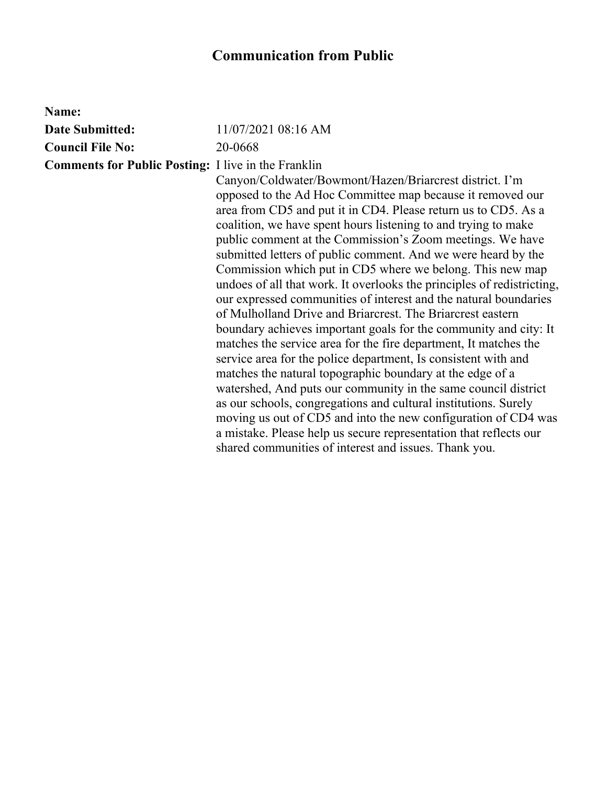| Name:                                                      |                                                                                                                                                                                                                                                                                                                                                                                                                                                                                                                                                                                                                                                                                                                                                                                                                                                                                                                                                                                                                                                                                                                                                                                                                                                                              |
|------------------------------------------------------------|------------------------------------------------------------------------------------------------------------------------------------------------------------------------------------------------------------------------------------------------------------------------------------------------------------------------------------------------------------------------------------------------------------------------------------------------------------------------------------------------------------------------------------------------------------------------------------------------------------------------------------------------------------------------------------------------------------------------------------------------------------------------------------------------------------------------------------------------------------------------------------------------------------------------------------------------------------------------------------------------------------------------------------------------------------------------------------------------------------------------------------------------------------------------------------------------------------------------------------------------------------------------------|
| <b>Date Submitted:</b>                                     | 11/07/2021 08:16 AM                                                                                                                                                                                                                                                                                                                                                                                                                                                                                                                                                                                                                                                                                                                                                                                                                                                                                                                                                                                                                                                                                                                                                                                                                                                          |
| <b>Council File No:</b>                                    | 20-0668                                                                                                                                                                                                                                                                                                                                                                                                                                                                                                                                                                                                                                                                                                                                                                                                                                                                                                                                                                                                                                                                                                                                                                                                                                                                      |
| <b>Comments for Public Posting:</b> I live in the Franklin | Canyon/Coldwater/Bowmont/Hazen/Briarcrest district. I'm<br>opposed to the Ad Hoc Committee map because it removed our<br>area from CD5 and put it in CD4. Please return us to CD5. As a<br>coalition, we have spent hours listening to and trying to make<br>public comment at the Commission's Zoom meetings. We have<br>submitted letters of public comment. And we were heard by the<br>Commission which put in CD5 where we belong. This new map<br>undoes of all that work. It overlooks the principles of redistricting,<br>our expressed communities of interest and the natural boundaries<br>of Mulholland Drive and Briarcrest. The Briarcrest eastern<br>boundary achieves important goals for the community and city: It<br>matches the service area for the fire department, It matches the<br>service area for the police department, Is consistent with and<br>matches the natural topographic boundary at the edge of a<br>watershed, And puts our community in the same council district<br>as our schools, congregations and cultural institutions. Surely<br>moving us out of CD5 and into the new configuration of CD4 was<br>a mistake. Please help us secure representation that reflects our<br>shared communities of interest and issues. Thank you. |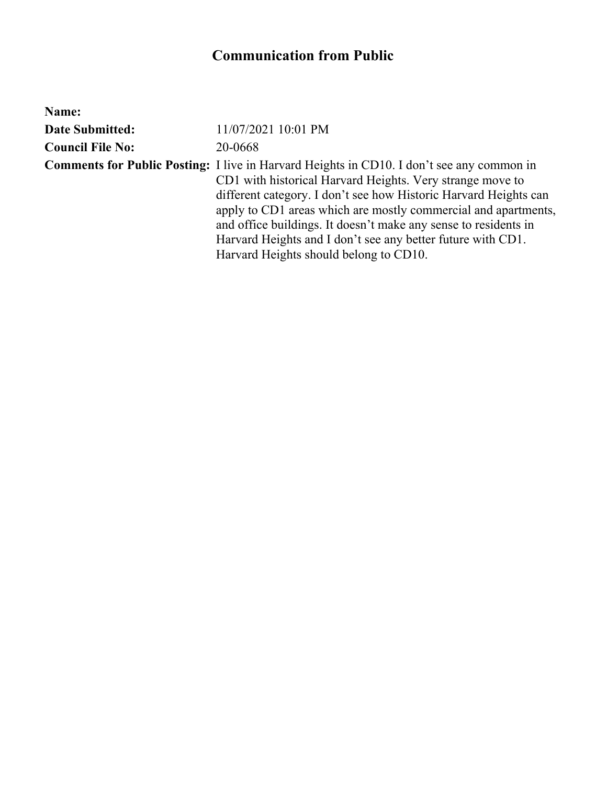| Name:                   |                                                                                                                                                                                                                                                                                                                                                                                                                                                                                 |
|-------------------------|---------------------------------------------------------------------------------------------------------------------------------------------------------------------------------------------------------------------------------------------------------------------------------------------------------------------------------------------------------------------------------------------------------------------------------------------------------------------------------|
| <b>Date Submitted:</b>  | 11/07/2021 10:01 PM                                                                                                                                                                                                                                                                                                                                                                                                                                                             |
| <b>Council File No:</b> | 20-0668                                                                                                                                                                                                                                                                                                                                                                                                                                                                         |
|                         | <b>Comments for Public Posting:</b> I live in Harvard Heights in CD10. I don't see any common in<br>CD1 with historical Harvard Heights. Very strange move to<br>different category. I don't see how Historic Harvard Heights can<br>apply to CD1 areas which are mostly commercial and apartments,<br>and office buildings. It doesn't make any sense to residents in<br>Harvard Heights and I don't see any better future with CD1.<br>Harvard Heights should belong to CD10. |